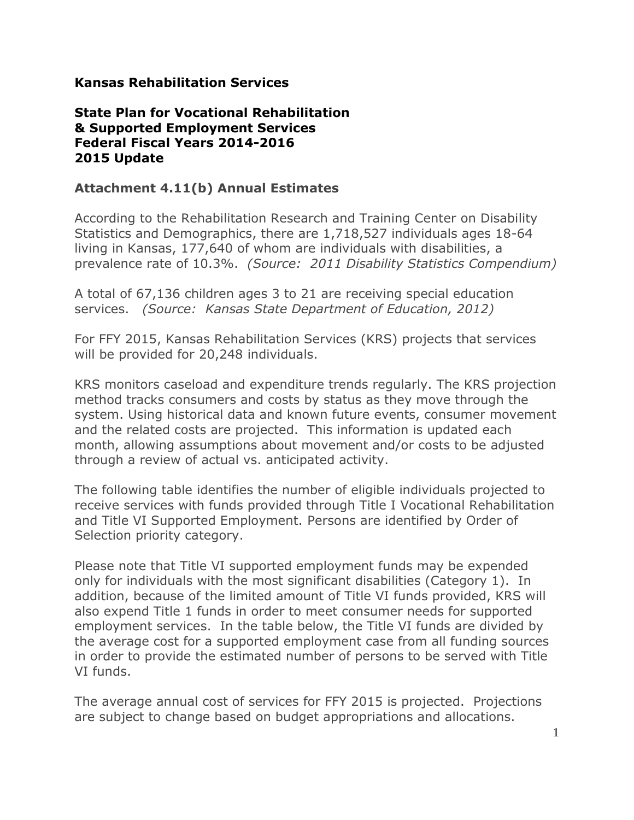## **Kansas Rehabilitation Services**

## **State Plan for Vocational Rehabilitation & Supported Employment Services Federal Fiscal Years 2014-2016 2015 Update**

## **Attachment 4.11(b) Annual Estimates**

According to the Rehabilitation Research and Training Center on Disability Statistics and Demographics, there are 1,718,527 individuals ages 18-64 living in Kansas, 177,640 of whom are individuals with disabilities, a prevalence rate of 10.3%. *(Source: 2011 Disability Statistics Compendium)*

A total of 67,136 children ages 3 to 21 are receiving special education services. *(Source: Kansas State Department of Education, 2012)*

For FFY 2015, Kansas Rehabilitation Services (KRS) projects that services will be provided for 20,248 individuals.

KRS monitors caseload and expenditure trends regularly. The KRS projection method tracks consumers and costs by status as they move through the system. Using historical data and known future events, consumer movement and the related costs are projected. This information is updated each month, allowing assumptions about movement and/or costs to be adjusted through a review of actual vs. anticipated activity.

The following table identifies the number of eligible individuals projected to receive services with funds provided through Title I Vocational Rehabilitation and Title VI Supported Employment. Persons are identified by Order of Selection priority category.

Please note that Title VI supported employment funds may be expended only for individuals with the most significant disabilities (Category 1). In addition, because of the limited amount of Title VI funds provided, KRS will also expend Title 1 funds in order to meet consumer needs for supported employment services. In the table below, the Title VI funds are divided by the average cost for a supported employment case from all funding sources in order to provide the estimated number of persons to be served with Title VI funds.

The average annual cost of services for FFY 2015 is projected. Projections are subject to change based on budget appropriations and allocations.